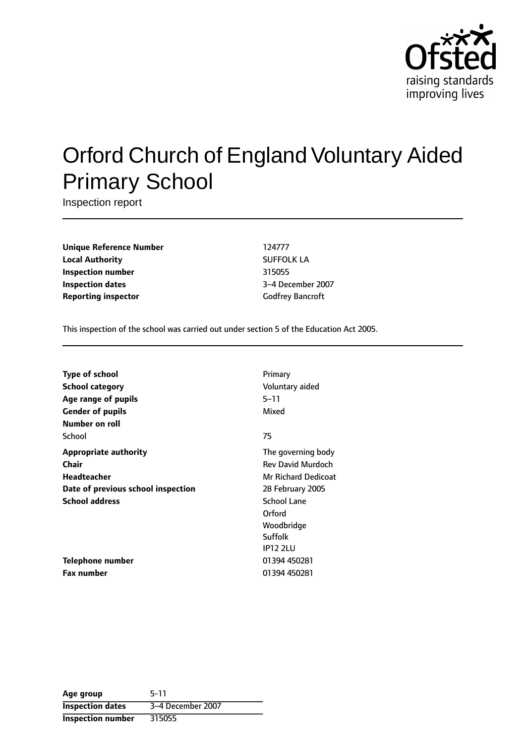

# Orford Church of England Voluntary Aided Primary School

Inspection report

**Unique Reference Number** 124777 **Local Authority** SUFFOLK LA **Inspection number** 315055 **Inspection dates** 3-4 December 2007 **Reporting inspector** Godfrey Bancroft

This inspection of the school was carried out under section 5 of the Education Act 2005.

| <b>Type of school</b>              | Primary                  |
|------------------------------------|--------------------------|
| <b>School category</b>             | Voluntary aided          |
| Age range of pupils                | $5 - 11$                 |
| <b>Gender of pupils</b>            | Mixed                    |
| Number on roll                     |                          |
| School                             | 75                       |
| <b>Appropriate authority</b>       | The governing body       |
| Chair                              | <b>Rev David Murdoch</b> |
| Headteacher                        | Mr Richard Dedicoat      |
| Date of previous school inspection | 28 February 2005         |
| <b>School address</b>              | School Lane              |
|                                    | Orford                   |
|                                    | Woodbridge               |
|                                    | Suffolk                  |
|                                    | <b>IP12 2LU</b>          |
| <b>Telephone number</b>            | 01394 450281             |
| Fax number                         | 01394 450281             |

| Age group                | $5-11$            |
|--------------------------|-------------------|
| <b>Inspection dates</b>  | 3-4 December 2007 |
| <b>Inspection number</b> | 315055            |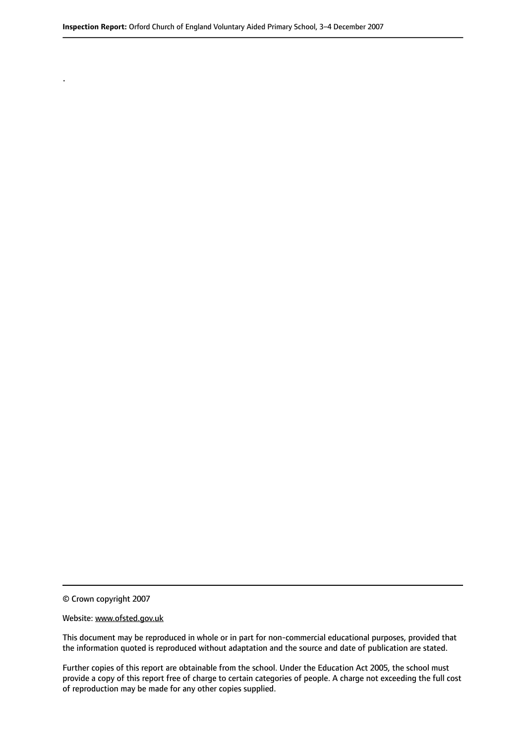© Crown copyright 2007

.

#### Website: www.ofsted.gov.uk

This document may be reproduced in whole or in part for non-commercial educational purposes, provided that the information quoted is reproduced without adaptation and the source and date of publication are stated.

Further copies of this report are obtainable from the school. Under the Education Act 2005, the school must provide a copy of this report free of charge to certain categories of people. A charge not exceeding the full cost of reproduction may be made for any other copies supplied.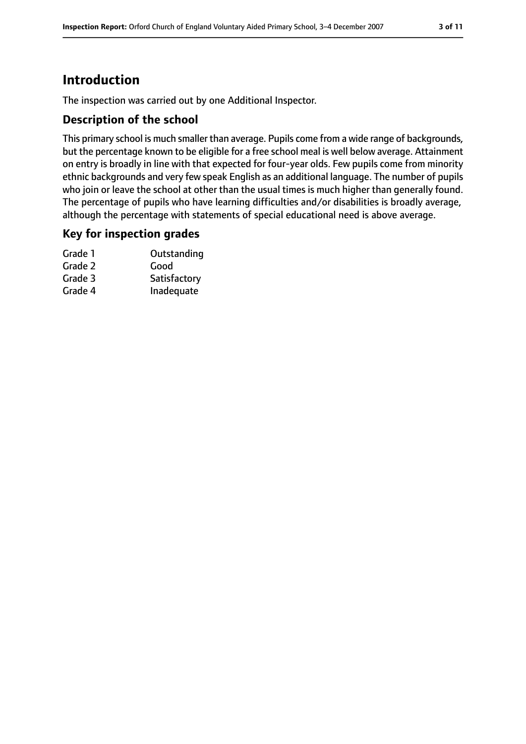# **Introduction**

The inspection was carried out by one Additional Inspector.

# **Description of the school**

This primary school is much smaller than average. Pupils come from a wide range of backgrounds, but the percentage known to be eligible for a free school meal is well below average. Attainment on entry is broadly in line with that expected for four-year olds. Few pupils come from minority ethnic backgrounds and very few speak English as an additional language. The number of pupils who join or leave the school at other than the usual times is much higher than generally found. The percentage of pupils who have learning difficulties and/or disabilities is broadly average, although the percentage with statements of special educational need is above average.

### **Key for inspection grades**

| Grade 1 | Outstanding  |
|---------|--------------|
| Grade 2 | Good         |
| Grade 3 | Satisfactory |
| Grade 4 | Inadequate   |
|         |              |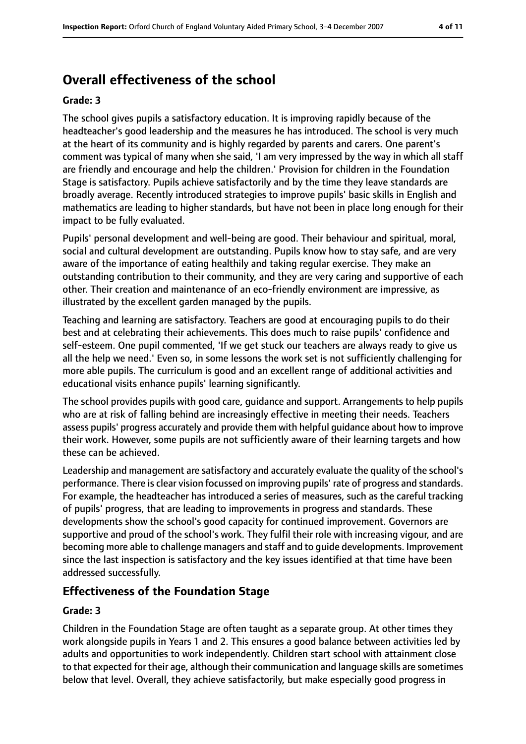# **Overall effectiveness of the school**

#### **Grade: 3**

The school gives pupils a satisfactory education. It is improving rapidly because of the headteacher's good leadership and the measures he has introduced. The school is very much at the heart of its community and is highly regarded by parents and carers. One parent's comment was typical of many when she said, 'I am very impressed by the way in which all staff are friendly and encourage and help the children.' Provision for children in the Foundation Stage is satisfactory. Pupils achieve satisfactorily and by the time they leave standards are broadly average. Recently introduced strategies to improve pupils' basic skills in English and mathematics are leading to higher standards, but have not been in place long enough for their impact to be fully evaluated.

Pupils' personal development and well-being are good. Their behaviour and spiritual, moral, social and cultural development are outstanding. Pupils know how to stay safe, and are very aware of the importance of eating healthily and taking regular exercise. They make an outstanding contribution to their community, and they are very caring and supportive of each other. Their creation and maintenance of an eco-friendly environment are impressive, as illustrated by the excellent garden managed by the pupils.

Teaching and learning are satisfactory. Teachers are good at encouraging pupils to do their best and at celebrating their achievements. This does much to raise pupils' confidence and self-esteem. One pupil commented, 'If we get stuck our teachers are always ready to give us all the help we need.' Even so, in some lessons the work set is not sufficiently challenging for more able pupils. The curriculum is good and an excellent range of additional activities and educational visits enhance pupils' learning significantly.

The school provides pupils with good care, guidance and support. Arrangements to help pupils who are at risk of falling behind are increasingly effective in meeting their needs. Teachers assess pupils' progress accurately and provide them with helpful guidance about how to improve their work. However, some pupils are not sufficiently aware of their learning targets and how these can be achieved.

Leadership and management are satisfactory and accurately evaluate the quality of the school's performance. There is clear vision focussed on improving pupils' rate of progress and standards. For example, the headteacher has introduced a series of measures, such as the careful tracking of pupils' progress, that are leading to improvements in progress and standards. These developments show the school's good capacity for continued improvement. Governors are supportive and proud of the school's work. They fulfil their role with increasing vigour, and are becoming more able to challenge managers and staff and to guide developments. Improvement since the last inspection is satisfactory and the key issues identified at that time have been addressed successfully.

### **Effectiveness of the Foundation Stage**

#### **Grade: 3**

Children in the Foundation Stage are often taught as a separate group. At other times they work alongside pupils in Years 1 and 2. This ensures a good balance between activities led by adults and opportunities to work independently. Children start school with attainment close to that expected for their age, although their communication and language skills are sometimes below that level. Overall, they achieve satisfactorily, but make especially good progress in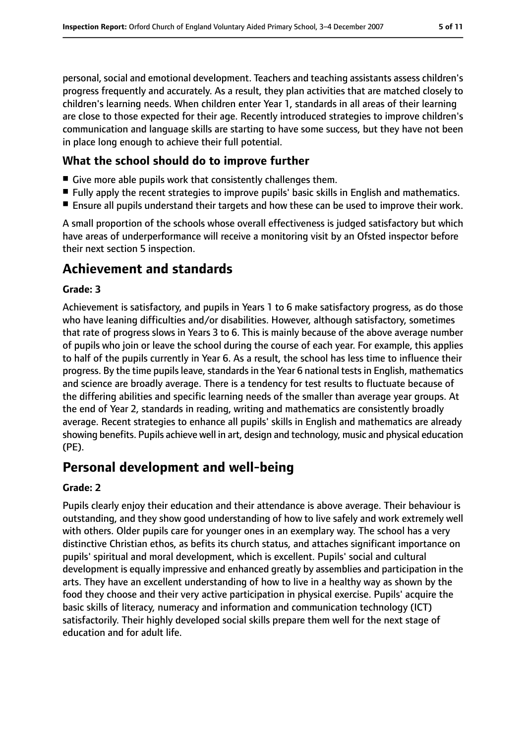personal, social and emotional development. Teachers and teaching assistants assess children's progress frequently and accurately. As a result, they plan activities that are matched closely to children's learning needs. When children enter Year 1, standards in all areas of their learning are close to those expected for their age. Recently introduced strategies to improve children's communication and language skills are starting to have some success, but they have not been in place long enough to achieve their full potential.

# **What the school should do to improve further**

- Give more able pupils work that consistently challenges them.
- Fully apply the recent strategies to improve pupils' basic skills in English and mathematics.
- Ensure all pupils understand their targets and how these can be used to improve their work.

A small proportion of the schools whose overall effectiveness is judged satisfactory but which have areas of underperformance will receive a monitoring visit by an Ofsted inspector before their next section 5 inspection.

# **Achievement and standards**

#### **Grade: 3**

Achievement is satisfactory, and pupils in Years 1 to 6 make satisfactory progress, as do those who have leaning difficulties and/or disabilities. However, although satisfactory, sometimes that rate of progress slows in Years 3 to 6. This is mainly because of the above average number of pupils who join or leave the school during the course of each year. For example, this applies to half of the pupils currently in Year 6. As a result, the school has less time to influence their progress. By the time pupils leave, standards in the Year 6 national tests in English, mathematics and science are broadly average. There is a tendency for test results to fluctuate because of the differing abilities and specific learning needs of the smaller than average year groups. At the end of Year 2, standards in reading, writing and mathematics are consistently broadly average. Recent strategies to enhance all pupils' skills in English and mathematics are already showing benefits. Pupils achieve well in art, design and technology, music and physical education (PE).

# **Personal development and well-being**

### **Grade: 2**

Pupils clearly enjoy their education and their attendance is above average. Their behaviour is outstanding, and they show good understanding of how to live safely and work extremely well with others. Older pupils care for younger ones in an exemplary way. The school has a very distinctive Christian ethos, as befits its church status, and attaches significant importance on pupils' spiritual and moral development, which is excellent. Pupils' social and cultural development is equally impressive and enhanced greatly by assemblies and participation in the arts. They have an excellent understanding of how to live in a healthy way as shown by the food they choose and their very active participation in physical exercise. Pupils' acquire the basic skills of literacy, numeracy and information and communication technology (ICT) satisfactorily. Their highly developed social skills prepare them well for the next stage of education and for adult life.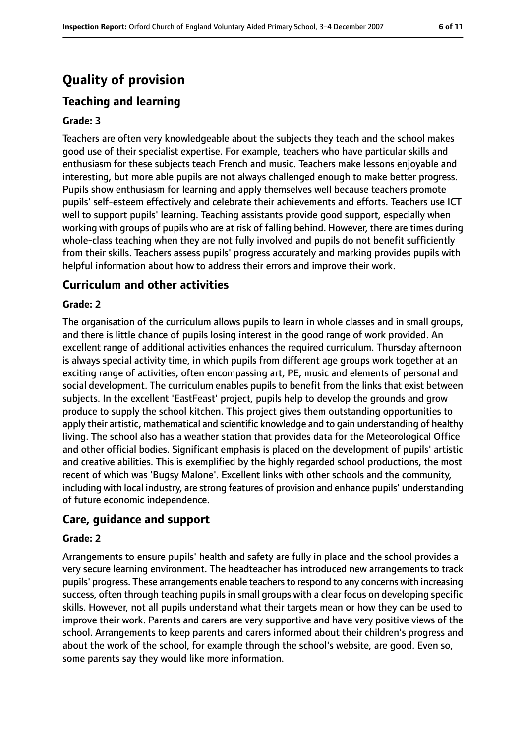# **Quality of provision**

# **Teaching and learning**

#### **Grade: 3**

Teachers are often very knowledgeable about the subjects they teach and the school makes good use of their specialist expertise. For example, teachers who have particular skills and enthusiasm for these subjects teach French and music. Teachers make lessons enjoyable and interesting, but more able pupils are not always challenged enough to make better progress. Pupils show enthusiasm for learning and apply themselves well because teachers promote pupils' self-esteem effectively and celebrate their achievements and efforts. Teachers use ICT well to support pupils' learning. Teaching assistants provide good support, especially when working with groups of pupils who are at risk of falling behind. However, there are times during whole-class teaching when they are not fully involved and pupils do not benefit sufficiently from their skills. Teachers assess pupils' progress accurately and marking provides pupils with helpful information about how to address their errors and improve their work.

### **Curriculum and other activities**

#### **Grade: 2**

The organisation of the curriculum allows pupils to learn in whole classes and in small groups, and there is little chance of pupils losing interest in the good range of work provided. An excellent range of additional activities enhances the required curriculum. Thursday afternoon is always special activity time, in which pupils from different age groups work together at an exciting range of activities, often encompassing art, PE, music and elements of personal and social development. The curriculum enables pupils to benefit from the links that exist between subjects. In the excellent 'EastFeast' project, pupils help to develop the grounds and grow produce to supply the school kitchen. This project gives them outstanding opportunities to apply their artistic, mathematical and scientific knowledge and to gain understanding of healthy living. The school also has a weather station that provides data for the Meteorological Office and other official bodies. Significant emphasis is placed on the development of pupils' artistic and creative abilities. This is exemplified by the highly regarded school productions, the most recent of which was 'Bugsy Malone'. Excellent links with other schools and the community, including with local industry, are strong features of provision and enhance pupils' understanding of future economic independence.

#### **Care, guidance and support**

#### **Grade: 2**

Arrangements to ensure pupils' health and safety are fully in place and the school provides a very secure learning environment. The headteacher has introduced new arrangements to track pupils' progress. These arrangements enable teachers to respond to any concerns with increasing success, often through teaching pupils in small groups with a clear focus on developing specific skills. However, not all pupils understand what their targets mean or how they can be used to improve their work. Parents and carers are very supportive and have very positive views of the school. Arrangements to keep parents and carers informed about their children's progress and about the work of the school, for example through the school's website, are good. Even so, some parents say they would like more information.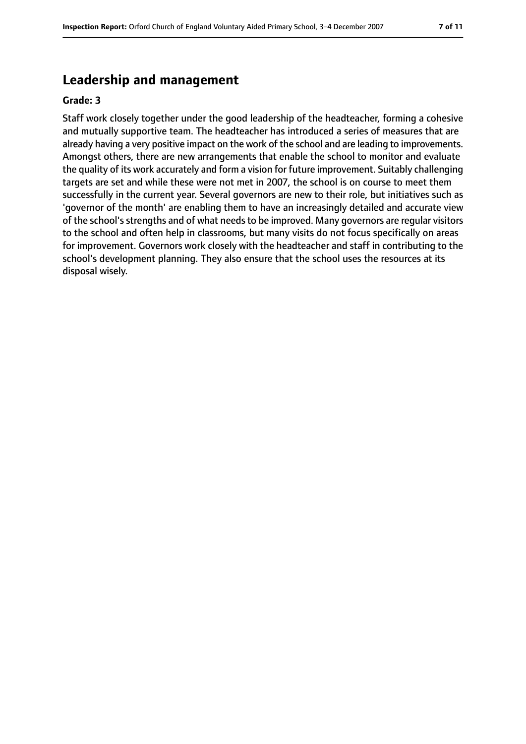# **Leadership and management**

#### **Grade: 3**

Staff work closely together under the good leadership of the headteacher, forming a cohesive and mutually supportive team. The headteacher has introduced a series of measures that are already having a very positive impact on the work of the school and are leading to improvements. Amongst others, there are new arrangements that enable the school to monitor and evaluate the quality of its work accurately and form a vision for future improvement. Suitably challenging targets are set and while these were not met in 2007, the school is on course to meet them successfully in the current year. Several governors are new to their role, but initiatives such as 'governor of the month' are enabling them to have an increasingly detailed and accurate view of the school's strengths and of what needs to be improved. Many governors are regular visitors to the school and often help in classrooms, but many visits do not focus specifically on areas for improvement. Governors work closely with the headteacher and staff in contributing to the school's development planning. They also ensure that the school uses the resources at its disposal wisely.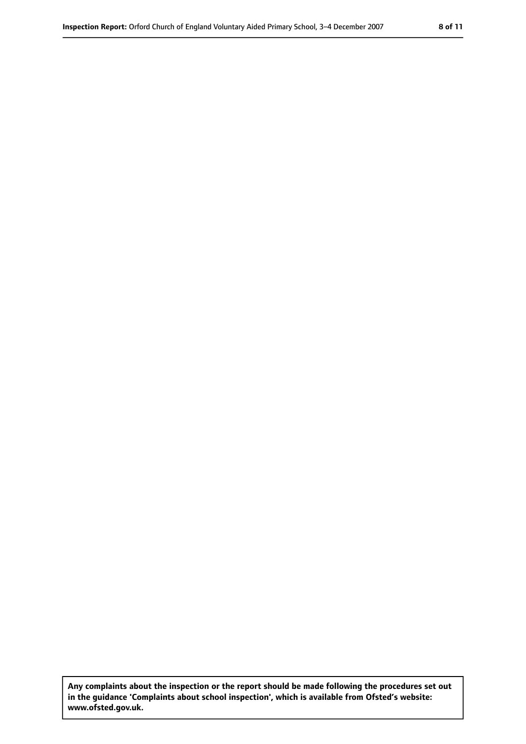**Any complaints about the inspection or the report should be made following the procedures set out in the guidance 'Complaints about school inspection', which is available from Ofsted's website: www.ofsted.gov.uk.**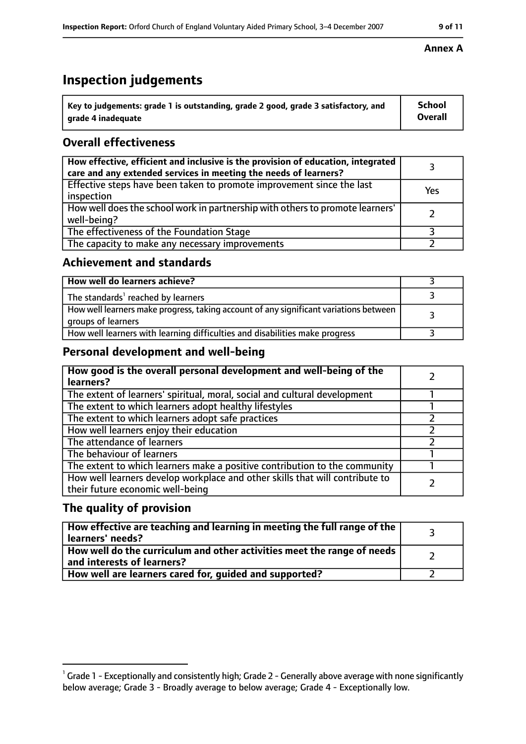# **Inspection judgements**

| $\degree$ Key to judgements: grade 1 is outstanding, grade 2 good, grade 3 satisfactory, and | School         |
|----------------------------------------------------------------------------------------------|----------------|
| arade 4 inadequate                                                                           | <b>Overall</b> |

# **Overall effectiveness**

| How effective, efficient and inclusive is the provision of education, integrated<br>care and any extended services in meeting the needs of learners? |     |
|------------------------------------------------------------------------------------------------------------------------------------------------------|-----|
| Effective steps have been taken to promote improvement since the last<br>inspection                                                                  | Yes |
| How well does the school work in partnership with others to promote learners'<br>well-being?                                                         |     |
| The effectiveness of the Foundation Stage                                                                                                            |     |
| The capacity to make any necessary improvements                                                                                                      |     |

### **Achievement and standards**

| How well do learners achieve?                                                                               |  |
|-------------------------------------------------------------------------------------------------------------|--|
| The standards <sup>1</sup> reached by learners                                                              |  |
| How well learners make progress, taking account of any significant variations between<br>groups of learners |  |
| How well learners with learning difficulties and disabilities make progress                                 |  |

# **Personal development and well-being**

| How good is the overall personal development and well-being of the<br>learners?                                  |  |
|------------------------------------------------------------------------------------------------------------------|--|
| The extent of learners' spiritual, moral, social and cultural development                                        |  |
| The extent to which learners adopt healthy lifestyles                                                            |  |
| The extent to which learners adopt safe practices                                                                |  |
| How well learners enjoy their education                                                                          |  |
| The attendance of learners                                                                                       |  |
| The behaviour of learners                                                                                        |  |
| The extent to which learners make a positive contribution to the community                                       |  |
| How well learners develop workplace and other skills that will contribute to<br>their future economic well-being |  |

### **The quality of provision**

| How effective are teaching and learning in meeting the full range of the<br>learners' needs?          |  |
|-------------------------------------------------------------------------------------------------------|--|
| How well do the curriculum and other activities meet the range of needs<br>and interests of learners? |  |
| How well are learners cared for, guided and supported?                                                |  |

#### **Annex A**

 $^1$  Grade 1 - Exceptionally and consistently high; Grade 2 - Generally above average with none significantly below average; Grade 3 - Broadly average to below average; Grade 4 - Exceptionally low.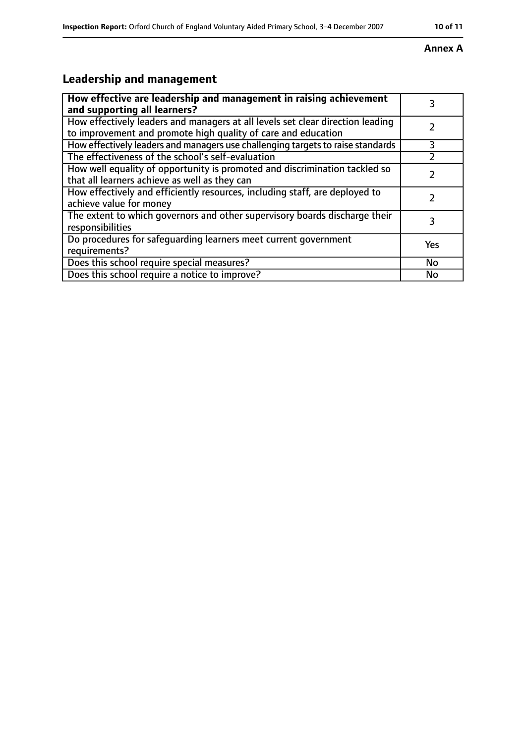# **Annex A**

# **Leadership and management**

| How effective are leadership and management in raising achievement<br>and supporting all learners?                                              |     |
|-------------------------------------------------------------------------------------------------------------------------------------------------|-----|
| How effectively leaders and managers at all levels set clear direction leading<br>to improvement and promote high quality of care and education |     |
| How effectively leaders and managers use challenging targets to raise standards                                                                 | 3   |
| The effectiveness of the school's self-evaluation                                                                                               |     |
| How well equality of opportunity is promoted and discrimination tackled so<br>that all learners achieve as well as they can                     |     |
| How effectively and efficiently resources, including staff, are deployed to<br>achieve value for money                                          |     |
| The extent to which governors and other supervisory boards discharge their<br>responsibilities                                                  |     |
| Do procedures for safequarding learners meet current government<br>requirements?                                                                | Yes |
| Does this school require special measures?                                                                                                      | No  |
| Does this school require a notice to improve?                                                                                                   | No  |